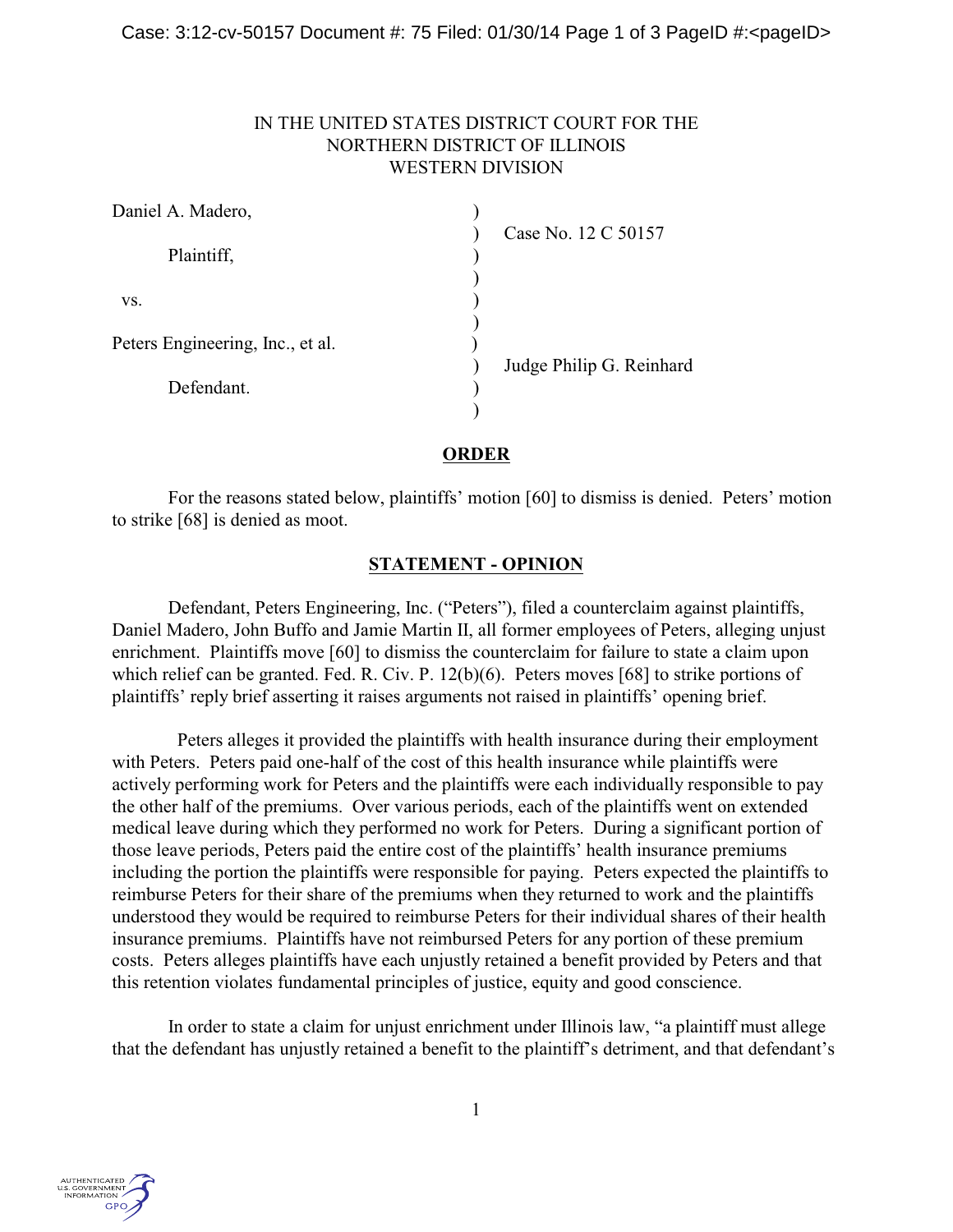## IN THE UNITED STATES DISTRICT COURT FOR THE NORTHERN DISTRICT OF ILLINOIS WESTERN DIVISION

| Daniel A. Madero,                |                          |
|----------------------------------|--------------------------|
| Plaintiff,                       | Case No. 12 C 50157      |
| VS.                              |                          |
| Peters Engineering, Inc., et al. |                          |
| Defendant.                       | Judge Philip G. Reinhard |

**ORDER**

For the reasons stated below, plaintiffs' motion [60] to dismiss is denied. Peters' motion to strike [68] is denied as moot.

## **STATEMENT - OPINION**

Defendant, Peters Engineering, Inc. ("Peters"), filed a counterclaim against plaintiffs, Daniel Madero, John Buffo and Jamie Martin II, all former employees of Peters, alleging unjust enrichment. Plaintiffs move [60] to dismiss the counterclaim for failure to state a claim upon which relief can be granted. Fed. R. Civ. P. 12(b)(6). Peters moves [68] to strike portions of plaintiffs' reply brief asserting it raises arguments not raised in plaintiffs' opening brief.

 Peters alleges it provided the plaintiffs with health insurance during their employment with Peters. Peters paid one-half of the cost of this health insurance while plaintiffs were actively performing work for Peters and the plaintiffs were each individually responsible to pay the other half of the premiums. Over various periods, each of the plaintiffs went on extended medical leave during which they performed no work for Peters. During a significant portion of those leave periods, Peters paid the entire cost of the plaintiffs' health insurance premiums including the portion the plaintiffs were responsible for paying. Peters expected the plaintiffs to reimburse Peters for their share of the premiums when they returned to work and the plaintiffs understood they would be required to reimburse Peters for their individual shares of their health insurance premiums. Plaintiffs have not reimbursed Peters for any portion of these premium costs. Peters alleges plaintiffs have each unjustly retained a benefit provided by Peters and that this retention violates fundamental principles of justice, equity and good conscience.

In order to state a claim for unjust enrichment under Illinois law, "a plaintiff must allege that the defendant has unjustly retained a benefit to the plaintiff's detriment, and that defendant's

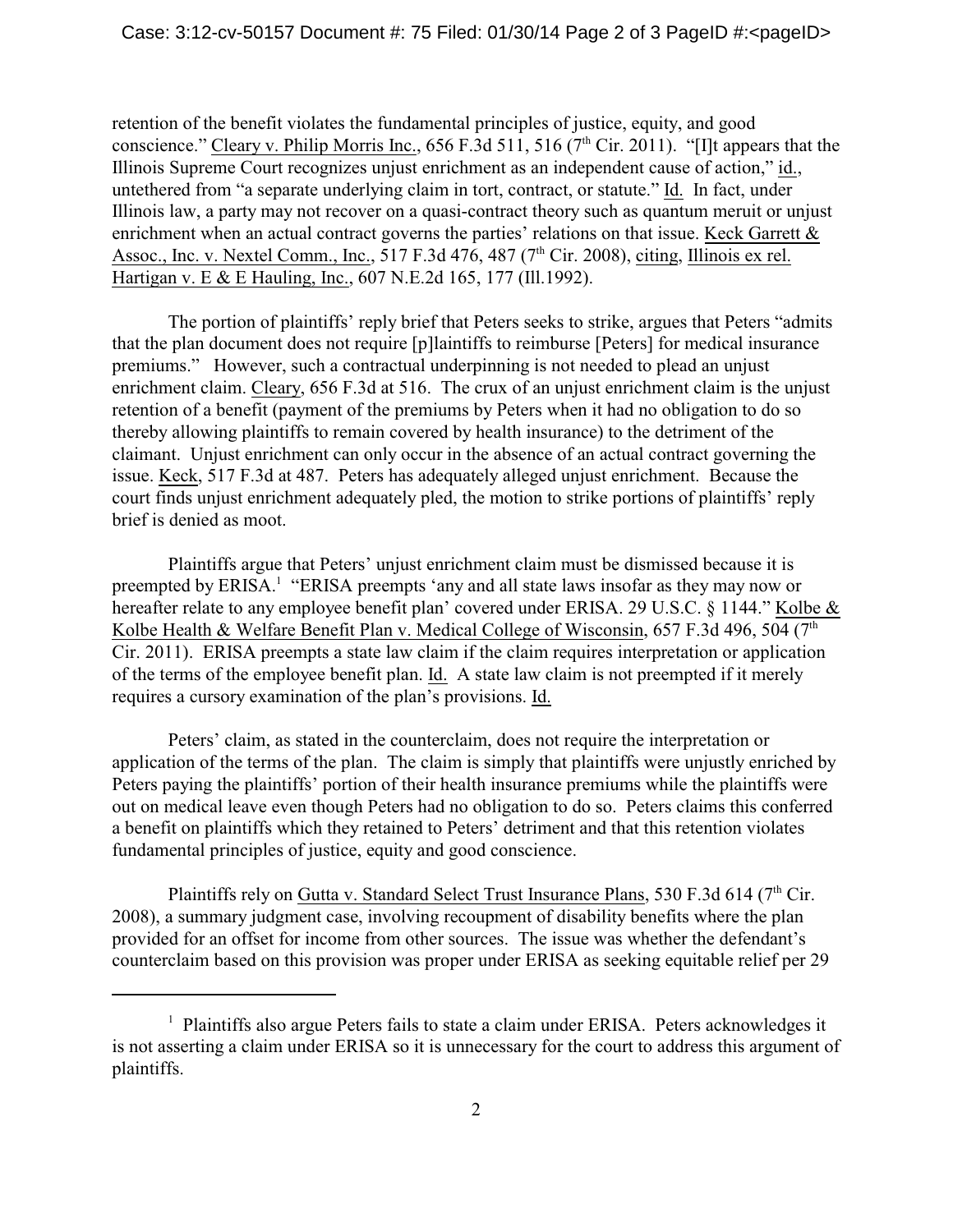retention of the benefit violates the fundamental principles of justice, equity, and good conscience." Cleary v. Philip Morris Inc., 656 F.3d 511, 516 ( $7<sup>th</sup>$  Cir. 2011). "[I]t appears that the Illinois Supreme Court recognizes unjust enrichment as an independent cause of action," id., untethered from "a separate underlying claim in tort, contract, or statute." Id. In fact, under Illinois law, a party may not recover on a quasi-contract theory such as quantum meruit or unjust enrichment when an actual contract governs the parties' relations on that issue. Keck Garrett & Assoc., Inc. v. Nextel Comm., Inc.,  $517$  F.3d  $476$ ,  $487$  ( $7<sup>th</sup>$  Cir. 2008), citing, Illinois ex rel. Hartigan v. E & E Hauling, Inc., 607 N.E.2d 165, 177 (Ill.1992).

The portion of plaintiffs' reply brief that Peters seeks to strike, argues that Peters "admits that the plan document does not require [p]laintiffs to reimburse [Peters] for medical insurance premiums." However, such a contractual underpinning is not needed to plead an unjust enrichment claim. Cleary, 656 F.3d at 516. The crux of an unjust enrichment claim is the unjust retention of a benefit (payment of the premiums by Peters when it had no obligation to do so thereby allowing plaintiffs to remain covered by health insurance) to the detriment of the claimant. Unjust enrichment can only occur in the absence of an actual contract governing the issue. Keck, 517 F.3d at 487. Peters has adequately alleged unjust enrichment. Because the court finds unjust enrichment adequately pled, the motion to strike portions of plaintiffs' reply brief is denied as moot.

Plaintiffs argue that Peters' unjust enrichment claim must be dismissed because it is preempted by ERISA.<sup>1</sup> "ERISA preempts 'any and all state laws insofar as they may now or hereafter relate to any employee benefit plan' covered under ERISA. 29 U.S.C. § 1144." Kolbe & Kolbe Health & Welfare Benefit Plan v. Medical College of Wisconsin, 657 F.3d 496, 504 ( $7<sup>th</sup>$ Cir. 2011). ERISA preempts a state law claim if the claim requires interpretation or application of the terms of the employee benefit plan. Id. A state law claim is not preempted if it merely requires a cursory examination of the plan's provisions. Id.

Peters' claim, as stated in the counterclaim, does not require the interpretation or application of the terms of the plan. The claim is simply that plaintiffs were unjustly enriched by Peters paying the plaintiffs' portion of their health insurance premiums while the plaintiffs were out on medical leave even though Peters had no obligation to do so. Peters claims this conferred a benefit on plaintiffs which they retained to Peters' detriment and that this retention violates fundamental principles of justice, equity and good conscience.

Plaintiffs rely on Gutta v. Standard Select Trust Insurance Plans, 530 F.3d 614 (7<sup>th</sup> Cir. 2008), a summary judgment case, involving recoupment of disability benefits where the plan provided for an offset for income from other sources. The issue was whether the defendant's counterclaim based on this provision was proper under ERISA as seeking equitable relief per 29

 $<sup>1</sup>$  Plaintiffs also argue Peters fails to state a claim under ERISA. Peters acknowledges it</sup> is not asserting a claim under ERISA so it is unnecessary for the court to address this argument of plaintiffs.